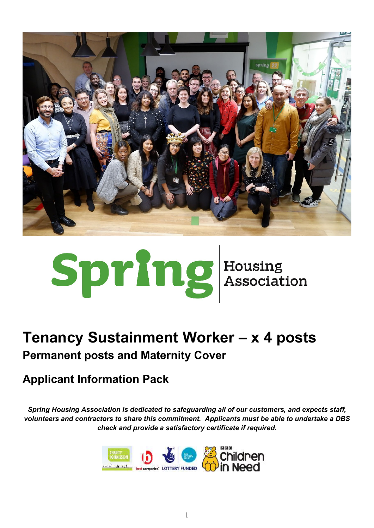

# Spring Housing<br>Association

# **Tenancy Sustainment Worker – x 4 posts Permanent posts and Maternity Cover**

# **Applicant Information Pack**

*Spring Housing Association is dedicated to safeguarding all of our customers, and expects staff, volunteers and contractors to share this commitment. Applicants must be able to undertake a DBS check and provide a satisfactory certificate if required.*

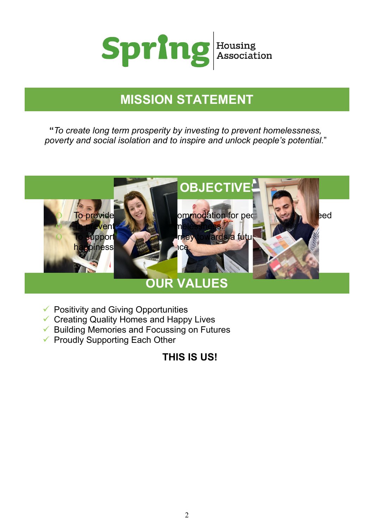

# **MISSION STATEMENT**

**"***To create long term prosperity by investing to prevent homelessness, poverty and social isolation and to inspire and unlock people's potential*."



- $\checkmark$  Positivity and Giving Opportunities
- $\checkmark$  Creating Quality Homes and Happy Lives
- $\checkmark$  Building Memories and Focussing on Futures
- $\checkmark$  Proudly Supporting Each Other

## **THIS IS US!**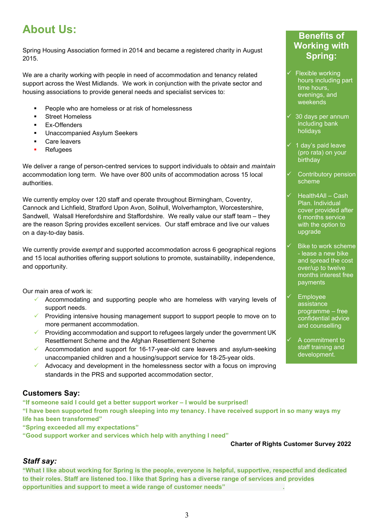# **About Us:**

Spring Housing Association formed in 2014 and became a registered charity in August 2015.

We are a charity working with people in need of accommodation and tenancy related support across the West Midlands. We work in conjunction with the private sector and housing associations to provide general needs and specialist services to:

- People who are homeless or at risk of homelessness
- Street Homeless
- **Ex-Offenders**
- **Unaccompanied Asylum Seekers**
- Care leavers
- **Refugees**

We deliver a range of person-centred services to support individuals to *obtain* and *maintain* accommodation long term. We have over 800 units of accommodation across 15 local authorities.

We currently employ over 120 staff and operate throughout Birmingham, Coventry, Cannock and Lichfield, Stratford Upon Avon, Solihull, Wolverhampton, Worcestershire, Sandwell, Walsall Herefordshire and Staffordshire. We really value our staff team – they are the reason Spring provides excellent services. Our staff embrace and live our values on a day-to-day basis.

We currently provide *exempt* and supported accommodation across 6 geographical regions and 15 local authorities offering support solutions to promote, sustainability, independence, and opportunity.

Our main area of work is:

- $\checkmark$  Accommodating and supporting people who are homeless with varying levels of support needs.
- $\checkmark$  Providing intensive housing management support to support people to move on to more permanent accommodation.
- Providing accommodation and support to refugees largely under the government UK Resettlement Scheme and the Afghan Resettlement Scheme
- $\checkmark$  Accommodation and support for 16-17-year-old care leavers and asylum-seeking unaccompanied children and a housing/support service for 18-25-year olds.
- Advocacy and development in the homelessness sector with a focus on improving standards in the PRS and supported accommodation sector.

#### **Customers Say:**

**"If someone said I could get a better support worker – I would be surprised!**

**"I have been supported from rough sleeping into my tenancy. I have received support in so many ways my life has been transformed"**

**"Spring exceeded all my expectations"**

**"Good support worker and services which help with anything I need"**

**Charter of Rights Customer Survey 2022**

#### *Staff say:*

**"What I like about working for Spring is the people, everyone is helpful, supportive, respectful and dedicated to their roles. Staff are listened too. I like that Spring has a diverse range of services and provides opportunities and support to meet a wide range of customer needs" .**

#### **Benefits of Working with Spring:**

- Flexible working hours including part time hours, evenings, and weekends
- 30 days per annum including bank holidays
- 1 day's paid leave (pro rata) on your birthday
- Contributory pension scheme
- Health4All Cash Plan. Individual cover provided after 6 months service with the option to upgrade
- Bike to work scheme - lease a new bike and spread the cost over/up to twelve months interest free payments
- Employee assistance programme – free confidential advice and counselling
- A commitment to staff training and development.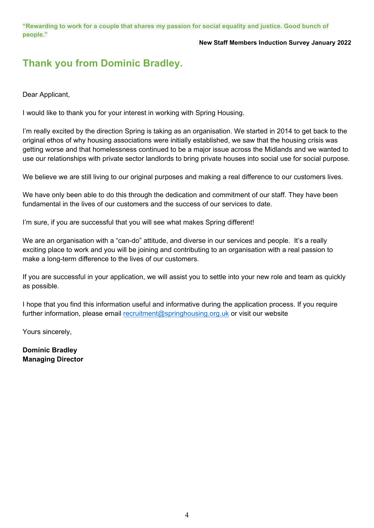#### **New Staff Members Induction Survey January 2022**

## **Thank you from Dominic Bradley.**

Dear Applicant,

I would like to thank you for your interest in working with Spring Housing.

I'm really excited by the direction Spring is taking as an organisation. We started in 2014 to get back to the original ethos of why housing associations were initially established, we saw that the housing crisis was getting worse and that homelessness continued to be a major issue across the Midlands and we wanted to use our relationships with private sector landlords to bring private houses into social use for social purpose.

We believe we are still living to our original purposes and making a real difference to our customers lives.

We have only been able to do this through the dedication and commitment of our staff. They have been fundamental in the lives of our customers and the success of our services to date.

I'm sure, if you are successful that you will see what makes Spring different!

We are an organisation with a "can-do" attitude, and diverse in our services and people. It's a really exciting place to work and you will be joining and contributing to an organisation with a real passion to make a long-term difference to the lives of our customers.

If you are successful in your application, we will assist you to settle into your new role and team as quickly as possible.

I hope that you find this information useful and informative during the application process. If you require further information, please email [recruitment@springhousing.org.uk](mailto:recruitment@springhousing.org.uk) or visit our website

Yours sincerely,

**Dominic Bradley Managing Director**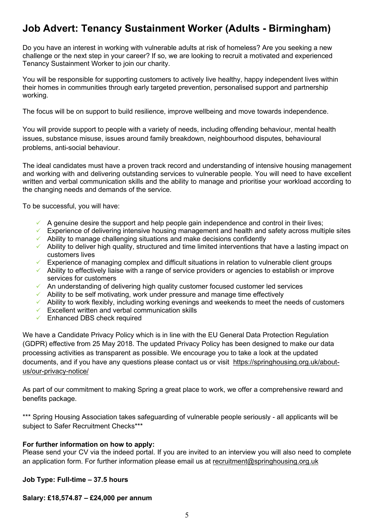## **Job Advert: Tenancy Sustainment Worker (Adults - Birmingham)**

Do you have an interest in working with vulnerable adults at risk of homeless? Are you seeking a new challenge or the next step in your career? If so, we are looking to recruit a motivated and experienced Tenancy Sustainment Worker to join our charity.

You will be responsible for supporting customers to actively live healthy, happy independent lives within their homes in communities through early targeted prevention, personalised support and partnership working.

The focus will be on support to build resilience, improve wellbeing and move towards independence.

You will provide support to people with a variety of needs, including offending behaviour, mental health issues, substance misuse, issues around family breakdown, neighbourhood disputes, behavioural problems, anti-social behaviour.

The ideal candidates must have a proven track record and understanding of intensive housing management and working with and delivering outstanding services to vulnerable people. You will need to have excellent written and verbal communication skills and the ability to manage and prioritise your workload according to the changing needs and demands of the service.

To be successful, you will have:

- $\checkmark$  A genuine desire the support and help people gain independence and control in their lives;
- $\checkmark$  Experience of delivering intensive housing management and health and safety across multiple sites
- $\checkmark$  Ability to manage challenging situations and make decisions confidently
- $\checkmark$  Ability to deliver high quality, structured and time limited interventions that have a lasting impact on customers lives
- $\checkmark$  Experience of managing complex and difficult situations in relation to vulnerable client groups
- $\checkmark$  Ability to effectively liaise with a range of service providers or agencies to establish or improve services for customers
- $\checkmark$  An understanding of delivering high quality customer focused customer led services
- $\checkmark$  Ability to be self motivating, work under pressure and manage time effectively
- $\checkmark$  Ability to work flexibly, including working evenings and weekends to meet the needs of customers
- $\checkmark$  Excellent written and verbal communication skills
- $\checkmark$  Enhanced DBS check required

We have a Candidate Privacy Policy which is in line with the EU General Data Protection Regulation (GDPR) effective from 25 May 2018. The updated Privacy Policy has been designed to make our data processing activities as transparent as possible. We encourage you to take a look at the updated documents, and if you have any questions please contact us or visit [https://springhousing.org.uk/about](https://springhousing.org.uk/about-us/our-privacy-notice/)[us/our-privacy-notice/](https://springhousing.org.uk/about-us/our-privacy-notice/)

As part of our commitment to making Spring a great place to work, we offer a comprehensive reward and benefits package.

\*\*\* Spring Housing Association takes safeguarding of vulnerable people seriously - all applicants will be subject to Safer Recruitment Checks\*\*\*

#### **For further information on how to apply:**

Please send your CV via the indeed portal. If you are invited to an interview you will also need to complete an application form. For further information please email us at [recruitment@springhousing.org.uk](mailto:recruitment@springhousing.org.uk)

#### **Job Type: Full-time – 37.5 hours**

#### **Salary: £18,574.87 – £24,000 per annum**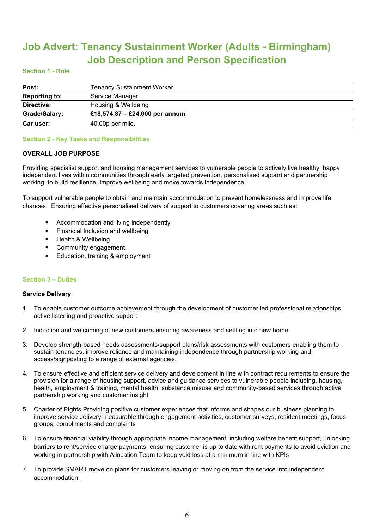## **Job Advert: Tenancy Sustainment Worker (Adults - Birmingham) Job Description and Person Specification**

#### **Section 1 - Role**

| Post:                | <b>Tenancy Sustainment Worker</b> |
|----------------------|-----------------------------------|
| <b>Reporting to:</b> | Service Manager                   |
| Directive:           | Housing & Wellbeing               |
| Grade/Salary:        | £18,574.87 – £24,000 per annum    |
| <b>Car user:</b>     | 40.00p per mile.                  |

#### **Section 2 - Key Tasks and Responsibilities**

#### **OVERALL JOB PURPOSE**

Providing specialist support and housing management services to vulnerable people to actively live healthy, happy independent lives within communities through early targeted prevention, personalised support and partnership working, to build resilience, improve wellbeing and move towards independence.

To support vulnerable people to obtain and maintain accommodation to prevent homelessness and improve life chances. Ensuring effective personalised delivery of support to customers covering areas such as:

- Accommodation and living independently
- **Financial Inclusion and wellbeing**
- Health & Wellbeing
- **•** Community engagement
- Education, training & employment

#### **Section 3 – Duties**

#### **Service Delivery**

- 1. To enable customer outcome achievement through the development of customer led professional relationships, active listening and proactive support
- 2. Induction and welcoming of new customers ensuring awareness and settling into new home
- 3. Develop strength-based needs assessments/support plans/risk assessments with customers enabling them to sustain tenancies, improve reliance and maintaining independence through partnership working and access/signposting to a range of external agencies.
- 4. To ensure effective and efficient service delivery and development in line with contract requirements to ensure the provision for a range of housing support, advice and guidance services to vulnerable people including, housing, health, employment & training, mental health, substance misuse and community-based services through active partnership working and customer insight
- 5. Charter of Rights Providing positive customer experiences that informs and shapes our business planning to improve service delivery-measurable through engagement activities, customer surveys, resident meetings, focus groups, compliments and complaints
- 6. To ensure financial viability through appropriate income management, including welfare benefit support, unlocking barriers to rent/service charge payments, ensuring customer is up to date with rent payments to avoid eviction and working in partnership with Allocation Team to keep void loss at a minimum in line with KPIs
- 7. To provide SMART move on plans for customers leaving or moving on from the service into independent accommodation.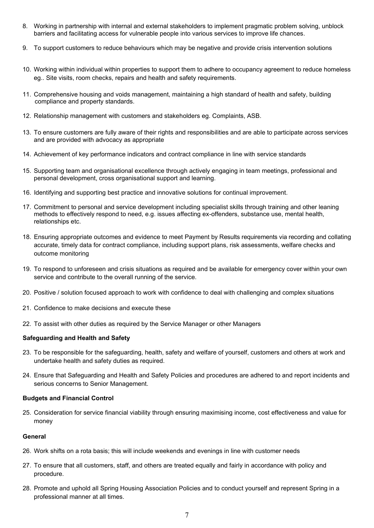- 8. Working in partnership with internal and external stakeholders to implement pragmatic problem solving, unblock barriers and facilitating access for vulnerable people into various services to improve life chances.
- 9. To support customers to reduce behaviours which may be negative and provide crisis intervention solutions
- 10. Working within individual within properties to support them to adhere to occupancy agreement to reduce homeless eg.. Site visits, room checks, repairs and health and safety requirements.
- 11. Comprehensive housing and voids management, maintaining a high standard of health and safety, building compliance and property standards.
- 12. Relationship management with customers and stakeholders eg. Complaints, ASB.
- 13. To ensure customers are fully aware of their rights and responsibilities and are able to participate across services and are provided with advocacy as appropriate
- 14. Achievement of key performance indicators and contract compliance in line with service standards
- 15. Supporting team and organisational excellence through actively engaging in team meetings, professional and personal development, cross organisational support and learning.
- 16. Identifying and supporting best practice and innovative solutions for continual improvement.
- 17. Commitment to personal and service development including specialist skills through training and other leaning methods to effectively respond to need, e.g. issues affecting ex-offenders, substance use, mental health, relationships etc.
- 18. Ensuring appropriate outcomes and evidence to meet Payment by Results requirements via recording and collating accurate, timely data for contract compliance, including support plans, risk assessments, welfare checks and outcome monitoring
- 19. To respond to unforeseen and crisis situations as required and be available for emergency cover within your own service and contribute to the overall running of the service.
- 20. Positive / solution focused approach to work with confidence to deal with challenging and complex situations
- 21. Confidence to make decisions and execute these
- 22. To assist with other duties as required by the Service Manager or other Managers

#### **Safeguarding and Health and Safety**

- 23. To be responsible for the safeguarding, health, safety and welfare of yourself, customers and others at work and undertake health and safety duties as required.
- 24. Ensure that Safeguarding and Health and Safety Policies and procedures are adhered to and report incidents and serious concerns to Senior Management.

#### **Budgets and Financial Control**

25. Consideration for service financial viability through ensuring maximising income, cost effectiveness and value for money

#### **General**

- 26. Work shifts on a rota basis; this will include weekends and evenings in line with customer needs
- 27. To ensure that all customers, staff, and others are treated equally and fairly in accordance with policy and procedure.
- 28. Promote and uphold all Spring Housing Association Policies and to conduct yourself and represent Spring in a professional manner at all times.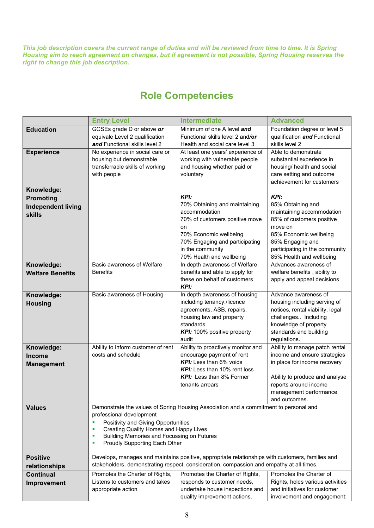*This job description covers the current range of duties and will be reviewed from time to time. It is Spring Housing aim to reach agreement on changes, but if agreement is not possible, Spring Housing reserves the right to change this job description.* 

## **Role Competencies**

|                                       | <b>Entry Level</b>                                                                               | <b>Intermediate</b>                                       | <b>Advanced</b>                                   |  |  |
|---------------------------------------|--------------------------------------------------------------------------------------------------|-----------------------------------------------------------|---------------------------------------------------|--|--|
| <b>Education</b>                      | GCSEs grade D or above or                                                                        | Minimum of one A level and                                | Foundation degree or level 5                      |  |  |
|                                       | equivale Level 2 qualification                                                                   | Functional skills level 2 and/or                          | qualification and Functional                      |  |  |
|                                       | and Functional skills level 2                                                                    | Health and social care level 3                            | skills level 2                                    |  |  |
| <b>Experience</b>                     | No experience in social care or                                                                  | At least one years' experience of                         | Able to demonstrate                               |  |  |
|                                       | housing but demonstrable                                                                         | working with vulnerable people                            | substantial experience in                         |  |  |
|                                       | transferrable skills of working                                                                  | and housing whether paid or                               | housing/ health and social                        |  |  |
|                                       | with people                                                                                      | voluntary                                                 | care setting and outcome                          |  |  |
|                                       |                                                                                                  |                                                           | achievement for customers                         |  |  |
| Knowledge:                            |                                                                                                  |                                                           |                                                   |  |  |
| Promoting                             |                                                                                                  | KPI:                                                      | <b>KPI:</b>                                       |  |  |
| <b>Independent living</b>             |                                                                                                  | 70% Obtaining and maintaining                             | 85% Obtaining and                                 |  |  |
| <b>skills</b>                         |                                                                                                  | accommodation                                             | maintaining accommodation                         |  |  |
|                                       |                                                                                                  | 70% of customers positive move                            | 85% of customers positive                         |  |  |
|                                       |                                                                                                  | on                                                        | move on                                           |  |  |
|                                       |                                                                                                  | 70% Economic wellbeing                                    | 85% Economic wellbeing                            |  |  |
|                                       |                                                                                                  | 70% Engaging and participating                            | 85% Engaging and                                  |  |  |
|                                       |                                                                                                  | in the community                                          | participating in the community                    |  |  |
|                                       | Basic awareness of Welfare                                                                       | 70% Health and wellbeing<br>In depth awareness of Welfare | 85% Health and wellbeing<br>Advances awareness of |  |  |
| Knowledge:<br><b>Welfare Benefits</b> | <b>Benefits</b>                                                                                  | benefits and able to apply for                            | welfare benefits, ability to                      |  |  |
|                                       |                                                                                                  | these on behalf of customers                              | apply and appeal decisions                        |  |  |
|                                       |                                                                                                  | KPI:                                                      |                                                   |  |  |
| Knowledge:                            | Basic awareness of Housing                                                                       | In depth awareness of housing                             | Advance awareness of                              |  |  |
| <b>Housing</b>                        |                                                                                                  | including tenancy./licence                                | housing including serving of                      |  |  |
|                                       |                                                                                                  | agreements, ASB, repairs,                                 | notices, rental viability, legal                  |  |  |
|                                       |                                                                                                  | housing law and property                                  | challenges Including                              |  |  |
|                                       |                                                                                                  | standards                                                 | knowledge of property                             |  |  |
|                                       |                                                                                                  | KPI: 100% positive property                               | standards and building                            |  |  |
|                                       |                                                                                                  | audit                                                     | regulations.                                      |  |  |
| Knowledge:                            | Ability to inform customer of rent                                                               | Ability to proactively monitor and                        | Ability to manage patch rental                    |  |  |
| <b>Income</b>                         | costs and schedule                                                                               | encourage payment of rent<br>KPI: Less than 6% voids      | income and ensure strategies                      |  |  |
| <b>Management</b>                     |                                                                                                  | KPI: Less than 10% rent loss                              | in place for income recovery                      |  |  |
|                                       |                                                                                                  | KPI: Less than 8% Former                                  | Ability to produce and analyse                    |  |  |
|                                       |                                                                                                  | tenants arrears                                           | reports around income                             |  |  |
|                                       |                                                                                                  |                                                           | management performance                            |  |  |
|                                       |                                                                                                  |                                                           | and outcomes.                                     |  |  |
| <b>Values</b>                         | Demonstrate the values of Spring Housing Association and a commitment to personal and            |                                                           |                                                   |  |  |
|                                       | professional development                                                                         |                                                           |                                                   |  |  |
|                                       | Positivity and Giving Opportunities<br>٠                                                         |                                                           |                                                   |  |  |
|                                       | Creating Quality Homes and Happy Lives<br>ш                                                      |                                                           |                                                   |  |  |
|                                       | Building Memories and Focussing on Futures<br>п                                                  |                                                           |                                                   |  |  |
|                                       | Proudly Supporting Each Other<br>٠                                                               |                                                           |                                                   |  |  |
| <b>Positive</b>                       | Develops, manages and maintains positive, appropriate relationships with customers, families and |                                                           |                                                   |  |  |
| relationships                         | stakeholders, demonstrating respect, consideration, compassion and empathy at all times.         |                                                           |                                                   |  |  |
| <b>Continual</b>                      | Promotes the Charter of Rights,                                                                  | Promotes the Charter of Rights,                           | Promotes the Charter of                           |  |  |
| <b>Improvement</b>                    | Listens to customers and takes                                                                   | responds to customer needs,                               | Rights, holds various activities                  |  |  |
|                                       | appropriate action                                                                               | undertake house inspections and                           | and initiatives for customer                      |  |  |
|                                       |                                                                                                  | quality improvement actions.                              | involvement and engagement;                       |  |  |